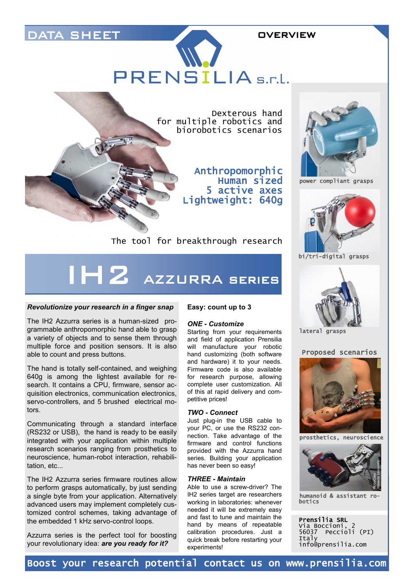## DATA SHEET **OVERVIEW**

PRENSILIA s.r.l.



Anthropomorphic Human sized 5 active axes Lightweight: 640g



power compliant grasps



bi/tri-digital grasps



lateral grasps

### Proposed scenarios



prosthetics, neuroscience



humanoid & assistant robotics

Prensilia SRL Via Boccioni, 2 56037 Peccioli (PI) Italy info@prensilia.com

The tool for breakthrough research

# IH2 AZZURRA series

### *Revolutionize your research in a finger snap*

The IH2 Azzurra series is a human-sized programmable anthropomorphic hand able to grasp a variety of objects and to sense them through multiple force and position sensors. It is also able to count and press buttons.

The hand is totally self-contained, and weighing 640g is among the lightest available for research. It contains a CPU, firmware, sensor acquisition electronics, communication electronics, servo-controllers, and 5 brushed electrical motors.

Communicating through a standard interface (RS232 or USB), the hand is ready to be easily integrated with your application within multiple research scenarios ranging from prosthetics to neuroscience, human-robot interaction, rehabilitation, etc...

The IH2 Azzurra series firmware routines allow to perform grasps automatically, by just sending a single byte from your application. Alternatively advanced users may implement completely customized control schemes, taking advantage of the embedded 1 kHz servo-control loops.

Azzurra series is the perfect tool for boosting your revolutionary idea: *are you ready for it?*

### **Easy: count up to 3**

### *ONE - Customize*

Starting from your requirements and field of application Prensilia will manufacture your robotic hand customizing (both software and hardware) it to your needs. Firmware code is also available for research purpose, allowing complete user customization. All of this at rapid delivery and competitive prices!

#### *TWO - Connect*

Just plug-in the USB cable to your PC, or use the RS232 connection. Take advantage of the firmware and control functions provided with the Azzurra hand series. Building your application has never been so easy!

#### *THREE - Maintain*

Able to use a screw-driver? The IH2 series target are researchers working in laboratories: whenever needed it will be extremely easy and fast to tune and maintain the hand by means of repeatable calibration procedures. Just a quick break before restarting your experiments!

Boost your research potential contact us on www.prensilia.com